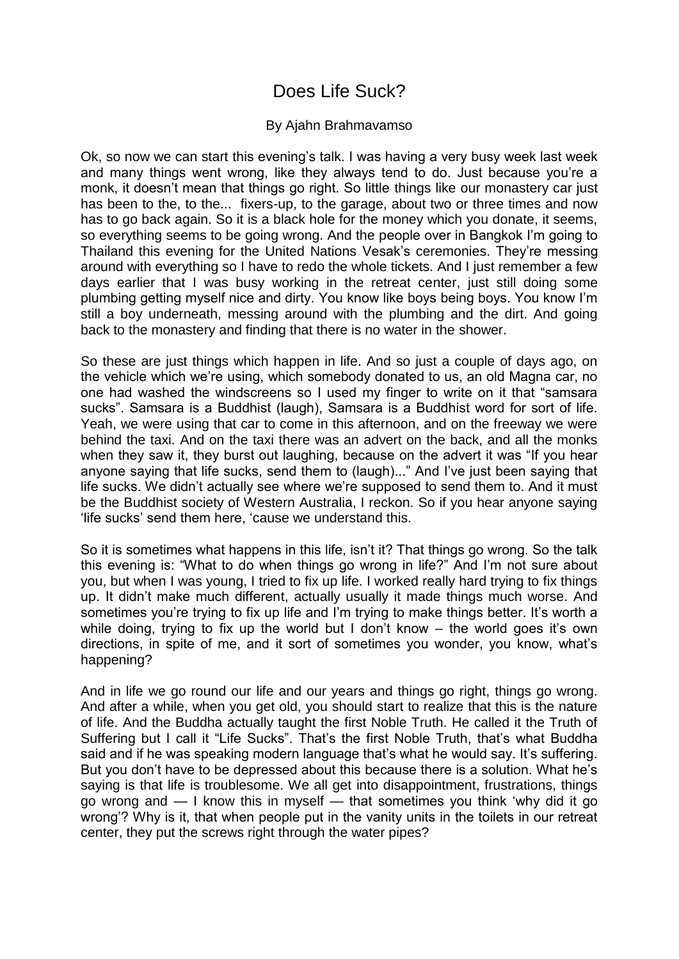## Does Life Suck?

## By Ajahn Brahmavamso

Ok, so now we can start this evening's talk. I was having a very busy week last week and many things went wrong, like they always tend to do. Just because you're a monk, it doesn't mean that things go right. So little things like our monastery car just has been to the, to the... fixers-up, to the garage, about two or three times and now has to go back again. So it is a black hole for the money which you donate, it seems, so everything seems to be going wrong. And the people over in Bangkok I'm going to Thailand this evening for the United Nations Vesak's ceremonies. They're messing around with everything so I have to redo the whole tickets. And I just remember a few days earlier that I was busy working in the retreat center, just still doing some plumbing getting myself nice and dirty. You know like boys being boys. You know I'm still a boy underneath, messing around with the plumbing and the dirt. And going back to the monastery and finding that there is no water in the shower.

So these are just things which happen in life. And so just a couple of days ago, on the vehicle which we're using, which somebody donated to us, an old Magna car, no one had washed the windscreens so I used my finger to write on it that "samsara sucks". Samsara is a Buddhist (laugh). Samsara is a Buddhist word for sort of life. Yeah, we were using that car to come in this afternoon, and on the freeway we were behind the taxi. And on the taxi there was an advert on the back, and all the monks when they saw it, they burst out laughing, because on the advert it was "If you hear anyone saying that life sucks, send them to (laugh)..." And I've just been saying that life sucks. We didn't actually see where we're supposed to send them to. And it must be the Buddhist society of Western Australia, I reckon. So if you hear anyone saying 'life sucks' send them here, 'cause we understand this.

So it is sometimes what happens in this life, isn't it? That things go wrong. So the talk this evening is: "What to do when things go wrong in life?" And I'm not sure about you, but when I was young, I tried to fix up life. I worked really hard trying to fix things up. It didn't make much different, actually usually it made things much worse. And sometimes you're trying to fix up life and I'm trying to make things better. It's worth a while doing, trying to fix up the world but I don't know – the world goes it's own directions, in spite of me, and it sort of sometimes you wonder, you know, what's happening?

And in life we go round our life and our years and things go right, things go wrong. And after a while, when you get old, you should start to realize that this is the nature of life. And the Buddha actually taught the first Noble Truth. He called it the Truth of Suffering but I call it "Life Sucks". That's the first Noble Truth, that's what Buddha said and if he was speaking modern language that's what he would say. It's suffering. But you don't have to be depressed about this because there is a solution. What he's saying is that life is troublesome. We all get into disappointment, frustrations, things go wrong and  $-1$  know this in myself  $-$  that sometimes you think 'why did it go wrong'? Why is it, that when people put in the vanity units in the toilets in our retreat center, they put the screws right through the water pipes?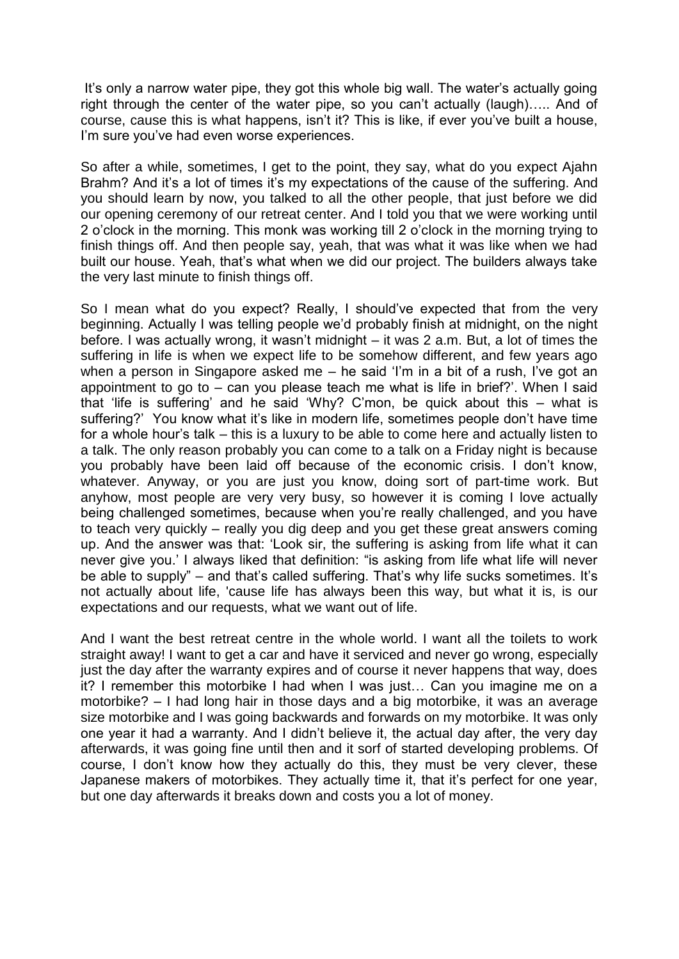It's only a narrow water pipe, they got this whole big wall. The water's actually going right through the center of the water pipe, so you can't actually (laugh)….. And of course, cause this is what happens, isn't it? This is like, if ever you've built a house, I'm sure you've had even worse experiences.

So after a while, sometimes, I get to the point, they say, what do you expect Ajahn Brahm? And it's a lot of times it's my expectations of the cause of the suffering. And you should learn by now, you talked to all the other people, that just before we did our opening ceremony of our retreat center. And I told you that we were working until 2 o'clock in the morning. This monk was working till 2 o'clock in the morning trying to finish things off. And then people say, yeah, that was what it was like when we had built our house. Yeah, that's what when we did our project. The builders always take the very last minute to finish things off.

So I mean what do you expect? Really, I should've expected that from the very beginning. Actually I was telling people we'd probably finish at midnight, on the night before. I was actually wrong, it wasn't midnight – it was 2 a.m. But, a lot of times the suffering in life is when we expect life to be somehow different, and few years ago when a person in Singapore asked me  $-$  he said 'I'm in a bit of a rush, I've got an appointment to go to – can you please teach me what is life in brief?'. When I said that 'life is suffering' and he said 'Why? C'mon, be quick about this  $-$  what is suffering?' You know what it's like in modern life, sometimes people don't have time for a whole hour's talk – this is a luxury to be able to come here and actually listen to a talk. The only reason probably you can come to a talk on a Friday night is because you probably have been laid off because of the economic crisis. I don't know, whatever. Anyway, or you are just you know, doing sort of part-time work. But anyhow, most people are very very busy, so however it is coming I love actually being challenged sometimes, because when you're really challenged, and you have to teach very quickly – really you dig deep and you get these great answers coming up. And the answer was that: ‗Look sir, the suffering is asking from life what it can never give you.' I always liked that definition: "is asking from life what life will never be able to supply" – and that's called suffering. That's why life sucks sometimes. It's not actually about life, 'cause life has always been this way, but what it is, is our expectations and our requests, what we want out of life.

And I want the best retreat centre in the whole world. I want all the toilets to work straight away! I want to get a car and have it serviced and never go wrong, especially just the day after the warranty expires and of course it never happens that way, does it? I remember this motorbike I had when I was just… Can you imagine me on a motorbike? – I had long hair in those days and a big motorbike, it was an average size motorbike and I was going backwards and forwards on my motorbike. It was only one year it had a warranty. And I didn't believe it, the actual day after, the very day afterwards, it was going fine until then and it sorf of started developing problems. Of course, I don't know how they actually do this, they must be very clever, these Japanese makers of motorbikes. They actually time it, that it's perfect for one year, but one day afterwards it breaks down and costs you a lot of money.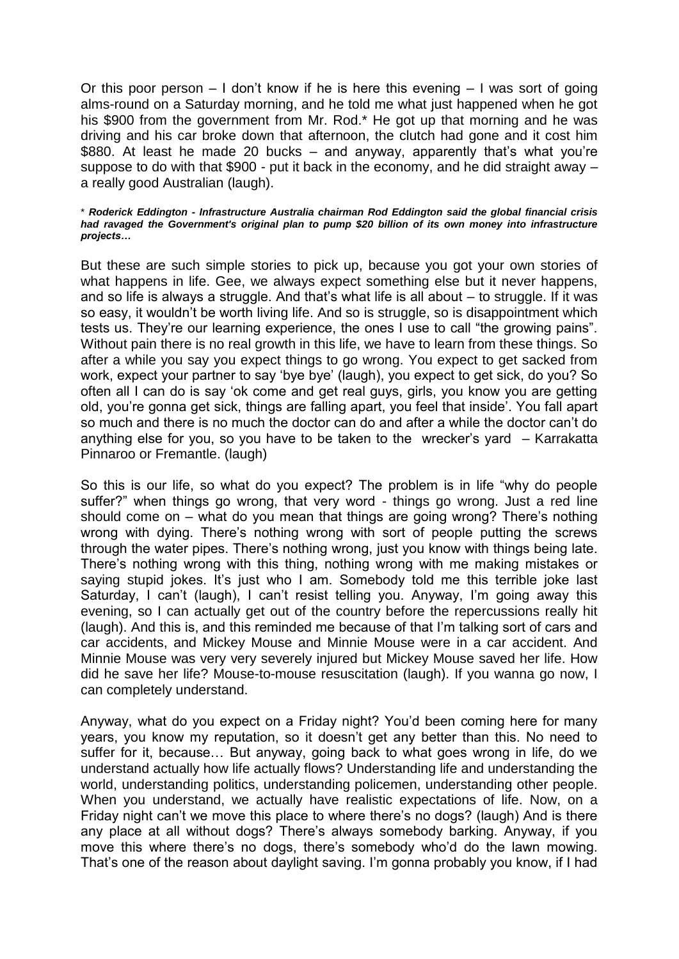Or this poor person – I don't know if he is here this evening – I was sort of going alms-round on a Saturday morning, and he told me what just happened when he got his \$900 from the government from Mr. Rod.\* He got up that morning and he was driving and his car broke down that afternoon, the clutch had gone and it cost him \$880. At least he made 20 bucks – and anyway, apparently that's what you're suppose to do with that \$900 - put it back in the economy, and he did straight away – a really good Australian (laugh).

## \* *Roderick Eddington - Infrastructure Australia chairman Rod Eddington said the global financial crisis had ravaged the Government's original plan to pump \$20 billion of its own money into infrastructure projects…*

But these are such simple stories to pick up, because you got your own stories of what happens in life. Gee, we always expect something else but it never happens, and so life is always a struggle. And that's what life is all about – to struggle. If it was so easy, it wouldn't be worth living life. And so is struggle, so is disappointment which tests us. They're our learning experience, the ones I use to call "the growing pains". Without pain there is no real growth in this life, we have to learn from these things. So after a while you say you expect things to go wrong. You expect to get sacked from work, expect your partner to say 'bye bye' (laugh), you expect to get sick, do you? So often all I can do is say 'ok come and get real guys, girls, you know you are getting old, you're gonna get sick, things are falling apart, you feel that inside'. You fall apart so much and there is no much the doctor can do and after a while the doctor can't do anything else for you, so you have to be taken to the wrecker's yard – Karrakatta Pinnaroo or Fremantle. (laugh)

So this is our life, so what do you expect? The problem is in life "why do people suffer?" when things go wrong, that very word - things go wrong. Just a red line should come on – what do you mean that things are going wrong? There's nothing wrong with dying. There's nothing wrong with sort of people putting the screws through the water pipes. There's nothing wrong, just you know with things being late. There's nothing wrong with this thing, nothing wrong with me making mistakes or saying stupid jokes. It's just who I am. Somebody told me this terrible joke last Saturday, I can't (laugh), I can't resist telling you. Anyway, I'm going away this evening, so I can actually get out of the country before the repercussions really hit (laugh). And this is, and this reminded me because of that I'm talking sort of cars and car accidents, and Mickey Mouse and Minnie Mouse were in a car accident. And Minnie Mouse was very very severely injured but Mickey Mouse saved her life. How did he save her life? Mouse-to-mouse resuscitation (laugh). If you wanna go now, I can completely understand.

Anyway, what do you expect on a Friday night? You'd been coming here for many years, you know my reputation, so it doesn't get any better than this. No need to suffer for it, because… But anyway, going back to what goes wrong in life, do we understand actually how life actually flows? Understanding life and understanding the world, understanding politics, understanding policemen, understanding other people. When you understand, we actually have realistic expectations of life. Now, on a Friday night can't we move this place to where there's no dogs? (laugh) And is there any place at all without dogs? There's always somebody barking. Anyway, if you move this where there's no dogs, there's somebody who'd do the lawn mowing. That's one of the reason about daylight saving. I'm gonna probably you know, if I had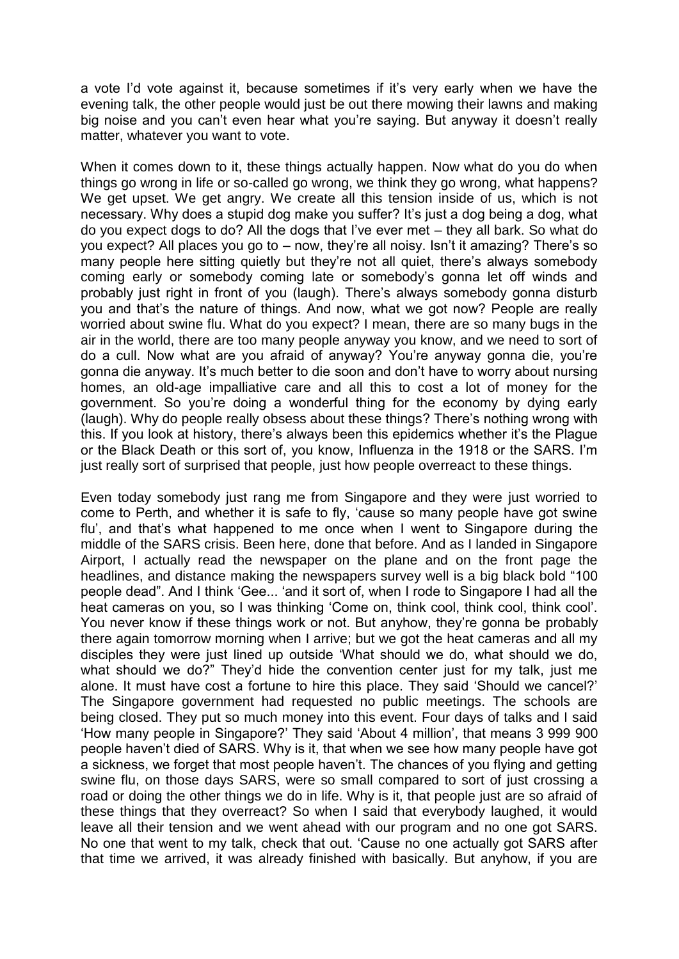a vote I'd vote against it, because sometimes if it's very early when we have the evening talk, the other people would just be out there mowing their lawns and making big noise and you can't even hear what you're saying. But anyway it doesn't really matter, whatever you want to vote.

When it comes down to it, these things actually happen. Now what do you do when things go wrong in life or so-called go wrong, we think they go wrong, what happens? We get upset. We get angry. We create all this tension inside of us, which is not necessary. Why does a stupid dog make you suffer? It's just a dog being a dog, what do you expect dogs to do? All the dogs that I've ever met – they all bark. So what do you expect? All places you go to – now, they're all noisy. Isn't it amazing? There's so many people here sitting quietly but they're not all quiet, there's always somebody coming early or somebody coming late or somebody's gonna let off winds and probably just right in front of you (laugh). There's always somebody gonna disturb you and that's the nature of things. And now, what we got now? People are really worried about swine flu. What do you expect? I mean, there are so many bugs in the air in the world, there are too many people anyway you know, and we need to sort of do a cull. Now what are you afraid of anyway? You're anyway gonna die, you're gonna die anyway. It's much better to die soon and don't have to worry about nursing homes, an old-age impalliative care and all this to cost a lot of money for the government. So you're doing a wonderful thing for the economy by dying early (laugh). Why do people really obsess about these things? There's nothing wrong with this. If you look at history, there's always been this epidemics whether it's the Plague or the Black Death or this sort of, you know, Influenza in the 1918 or the SARS. I'm just really sort of surprised that people, just how people overreact to these things.

Even today somebody just rang me from Singapore and they were just worried to come to Perth, and whether it is safe to fly, 'cause so many people have got swine flu', and that's what happened to me once when I went to Singapore during the middle of the SARS crisis. Been here, done that before. And as I landed in Singapore Airport, I actually read the newspaper on the plane and on the front page the headlines, and distance making the newspapers survey well is a big black bold "100 people dead". And I think 'Gee... 'and it sort of, when I rode to Singapore I had all the heat cameras on you, so I was thinking 'Come on, think cool, think cool, think cool'. You never know if these things work or not. But anyhow, they're gonna be probably there again tomorrow morning when I arrive; but we got the heat cameras and all my disciples they were just lined up outside ‗What should we do, what should we do, what should we do?" They'd hide the convention center just for my talk, just me alone. It must have cost a fortune to hire this place. They said 'Should we cancel?' The Singapore government had requested no public meetings. The schools are being closed. They put so much money into this event. Four days of talks and I said ‗How many people in Singapore?' They said ‗About 4 million', that means 3 999 900 people haven't died of SARS. Why is it, that when we see how many people have got a sickness, we forget that most people haven't. The chances of you flying and getting swine flu, on those days SARS, were so small compared to sort of just crossing a road or doing the other things we do in life. Why is it, that people just are so afraid of these things that they overreact? So when I said that everybody laughed, it would leave all their tension and we went ahead with our program and no one got SARS. No one that went to my talk, check that out. 'Cause no one actually got SARS after that time we arrived, it was already finished with basically. But anyhow, if you are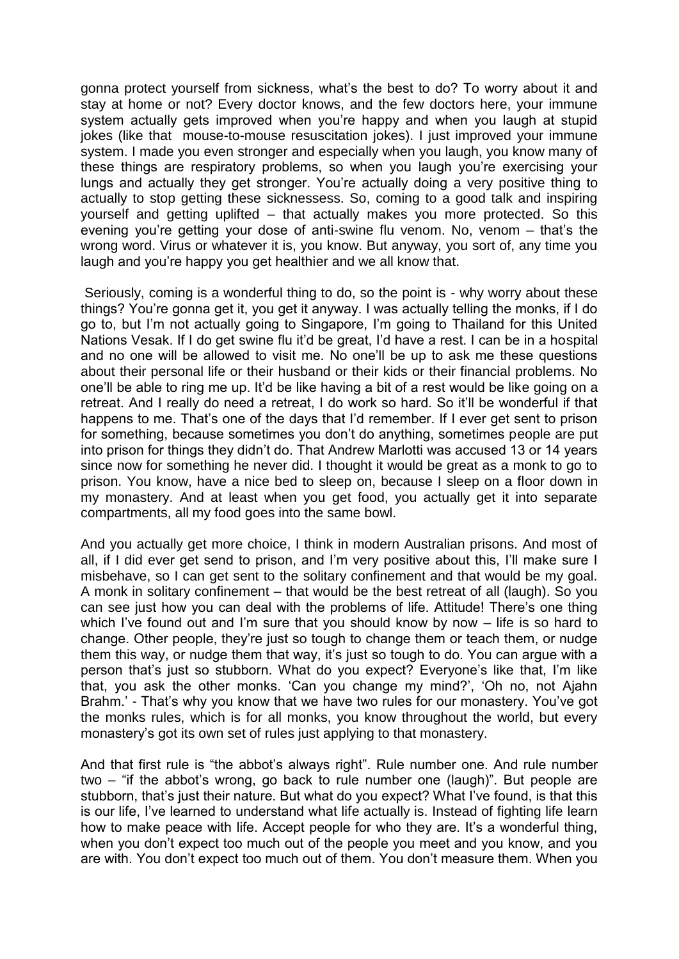gonna protect yourself from sickness, what's the best to do? To worry about it and stay at home or not? Every doctor knows, and the few doctors here, your immune system actually gets improved when you're happy and when you laugh at stupid jokes (like that mouse-to-mouse resuscitation jokes). I just improved your immune system. I made you even stronger and especially when you laugh, you know many of these things are respiratory problems, so when you laugh you're exercising your lungs and actually they get stronger. You're actually doing a very positive thing to actually to stop getting these sicknessess. So, coming to a good talk and inspiring yourself and getting uplifted – that actually makes you more protected. So this evening you're getting your dose of anti-swine flu venom. No, venom – that's the wrong word. Virus or whatever it is, you know. But anyway, you sort of, any time you laugh and you're happy you get healthier and we all know that.

Seriously, coming is a wonderful thing to do, so the point is - why worry about these things? You're gonna get it, you get it anyway. I was actually telling the monks, if I do go to, but I'm not actually going to Singapore, I'm going to Thailand for this United Nations Vesak. If I do get swine flu it'd be great, I'd have a rest. I can be in a hospital and no one will be allowed to visit me. No one'll be up to ask me these questions about their personal life or their husband or their kids or their financial problems. No one'll be able to ring me up. It'd be like having a bit of a rest would be like going on a retreat. And I really do need a retreat, I do work so hard. So it'll be wonderful if that happens to me. That's one of the days that I'd remember. If I ever get sent to prison for something, because sometimes you don't do anything, sometimes people are put into prison for things they didn't do. That Andrew Marlotti was accused 13 or 14 years since now for something he never did. I thought it would be great as a monk to go to prison. You know, have a nice bed to sleep on, because I sleep on a floor down in my monastery. And at least when you get food, you actually get it into separate compartments, all my food goes into the same bowl.

And you actually get more choice, I think in modern Australian prisons. And most of all, if I did ever get send to prison, and I'm very positive about this, I'll make sure I misbehave, so I can get sent to the solitary confinement and that would be my goal. A monk in solitary confinement – that would be the best retreat of all (laugh). So you can see just how you can deal with the problems of life. Attitude! There's one thing which I've found out and I'm sure that you should know by now – life is so hard to change. Other people, they're just so tough to change them or teach them, or nudge them this way, or nudge them that way, it's just so tough to do. You can argue with a person that's just so stubborn. What do you expect? Everyone's like that, I'm like that, you ask the other monks. ‗Can you change my mind?', ‗Oh no, not Ajahn Brahm.' - That's why you know that we have two rules for our monastery. You've got the monks rules, which is for all monks, you know throughout the world, but every monastery's got its own set of rules just applying to that monastery.

And that first rule is "the abbot's always right". Rule number one. And rule number two – "if the abbot's wrong, go back to rule number one (laugh)". But people are stubborn, that's just their nature. But what do you expect? What I've found, is that this is our life, I've learned to understand what life actually is. Instead of fighting life learn how to make peace with life. Accept people for who they are. It's a wonderful thing, when you don't expect too much out of the people you meet and you know, and you are with. You don't expect too much out of them. You don't measure them. When you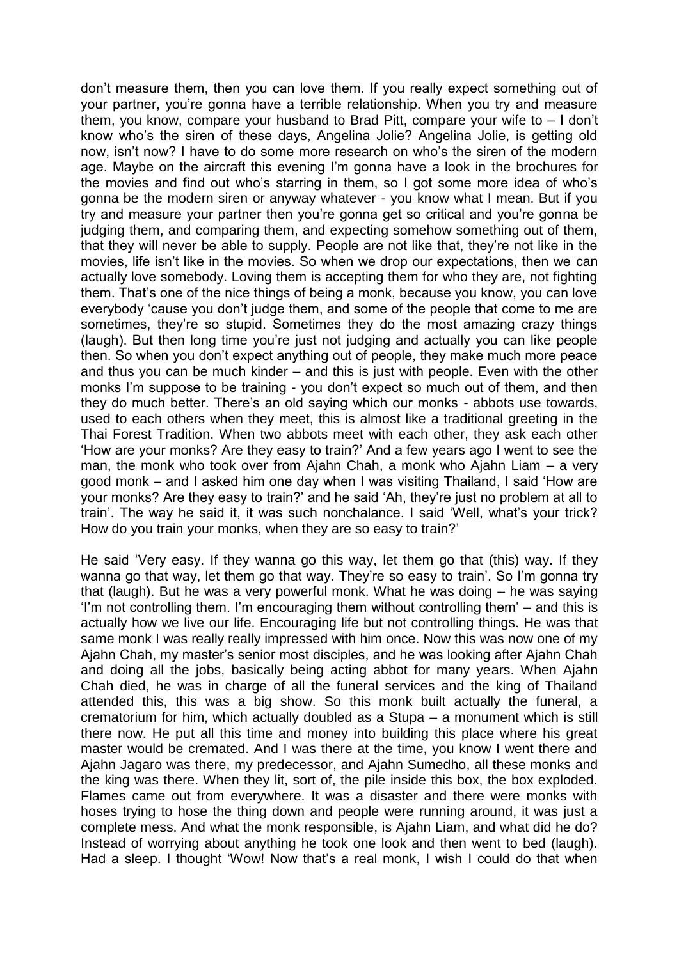don't measure them, then you can love them. If you really expect something out of your partner, you're gonna have a terrible relationship. When you try and measure them, you know, compare your husband to Brad Pitt, compare your wife to – I don't know who's the siren of these days, Angelina Jolie? Angelina Jolie, is getting old now, isn't now? I have to do some more research on who's the siren of the modern age. Maybe on the aircraft this evening I'm gonna have a look in the brochures for the movies and find out who's starring in them, so I got some more idea of who's gonna be the modern siren or anyway whatever - you know what I mean. But if you try and measure your partner then you're gonna get so critical and you're gonna be judging them, and comparing them, and expecting somehow something out of them, that they will never be able to supply. People are not like that, they're not like in the movies, life isn't like in the movies. So when we drop our expectations, then we can actually love somebody. Loving them is accepting them for who they are, not fighting them. That's one of the nice things of being a monk, because you know, you can love everybody 'cause you don't judge them, and some of the people that come to me are sometimes, they're so stupid. Sometimes they do the most amazing crazy things (laugh). But then long time you're just not judging and actually you can like people then. So when you don't expect anything out of people, they make much more peace and thus you can be much kinder – and this is just with people. Even with the other monks I'm suppose to be training - you don't expect so much out of them, and then they do much better. There's an old saying which our monks - abbots use towards, used to each others when they meet, this is almost like a traditional greeting in the Thai Forest Tradition. When two abbots meet with each other, they ask each other ‗How are your monks? Are they easy to train?' And a few years ago I went to see the man, the monk who took over from Ajahn Chah, a monk who Ajahn Liam – a very good monk – and I asked him one day when I was visiting Thailand, I said ‗How are your monks? Are they easy to train?' and he said 'Ah, they're just no problem at all to train'. The way he said it, it was such nonchalance. I said 'Well, what's your trick? How do you train your monks, when they are so easy to train?'

He said 'Very easy. If they wanna go this way, let them go that (this) way. If they wanna go that way, let them go that way. They're so easy to train'. So I'm gonna try that (laugh). But he was a very powerful monk. What he was doing – he was saying  $I'm$  not controlling them. I'm encouraging them without controlling them'  $-$  and this is actually how we live our life. Encouraging life but not controlling things. He was that same monk I was really really impressed with him once. Now this was now one of my Ajahn Chah, my master's senior most disciples, and he was looking after Ajahn Chah and doing all the jobs, basically being acting abbot for many years. When Ajahn Chah died, he was in charge of all the funeral services and the king of Thailand attended this, this was a big show. So this monk built actually the funeral, a crematorium for him, which actually doubled as a Stupa – a monument which is still there now. He put all this time and money into building this place where his great master would be cremated. And I was there at the time, you know I went there and Ajahn Jagaro was there, my predecessor, and Ajahn Sumedho, all these monks and the king was there. When they lit, sort of, the pile inside this box, the box exploded. Flames came out from everywhere. It was a disaster and there were monks with hoses trying to hose the thing down and people were running around, it was just a complete mess. And what the monk responsible, is Ajahn Liam, and what did he do? Instead of worrying about anything he took one look and then went to bed (laugh). Had a sleep. I thought 'Wow! Now that's a real monk. I wish I could do that when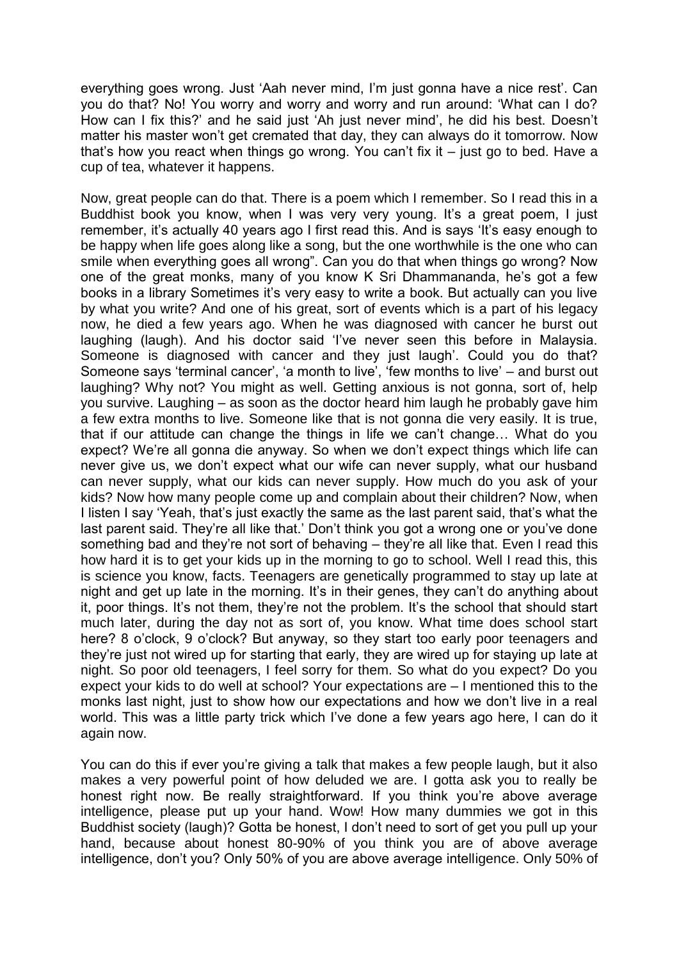everything goes wrong. Just 'Aah never mind, I'm just gonna have a nice rest'. Can you do that? No! You worry and worry and worry and run around: ‗What can I do? How can I fix this?' and he said just 'Ah just never mind', he did his best. Doesn't matter his master won't get cremated that day, they can always do it tomorrow. Now that's how you react when things go wrong. You can't fix it – just go to bed. Have a cup of tea, whatever it happens.

Now, great people can do that. There is a poem which I remember. So I read this in a Buddhist book you know, when I was very very young. It's a great poem, I just remember, it's actually 40 years ago I first read this. And is says ‗It's easy enough to be happy when life goes along like a song, but the one worthwhile is the one who can smile when everything goes all wrong". Can you do that when things go wrong? Now one of the great monks, many of you know K Sri Dhammananda, he's got a few books in a library Sometimes it's very easy to write a book. But actually can you live by what you write? And one of his great, sort of events which is a part of his legacy now, he died a few years ago. When he was diagnosed with cancer he burst out laughing (laugh). And his doctor said 'I've never seen this before in Malaysia. Someone is diagnosed with cancer and they just laugh'. Could you do that? Someone says 'terminal cancer', 'a month to live', 'few months to live' – and burst out laughing? Why not? You might as well. Getting anxious is not gonna, sort of, help you survive. Laughing – as soon as the doctor heard him laugh he probably gave him a few extra months to live. Someone like that is not gonna die very easily. It is true, that if our attitude can change the things in life we can't change… What do you expect? We're all gonna die anyway. So when we don't expect things which life can never give us, we don't expect what our wife can never supply, what our husband can never supply, what our kids can never supply. How much do you ask of your kids? Now how many people come up and complain about their children? Now, when I listen I say 'Yeah, that's just exactly the same as the last parent said, that's what the last parent said. They're all like that.' Don't think you got a wrong one or you've done something bad and they're not sort of behaving – they're all like that. Even I read this how hard it is to get your kids up in the morning to go to school. Well I read this, this is science you know, facts. Teenagers are genetically programmed to stay up late at night and get up late in the morning. It's in their genes, they can't do anything about it, poor things. It's not them, they're not the problem. It's the school that should start much later, during the day not as sort of, you know. What time does school start here? 8 o'clock, 9 o'clock? But anyway, so they start too early poor teenagers and they're just not wired up for starting that early, they are wired up for staying up late at night. So poor old teenagers, I feel sorry for them. So what do you expect? Do you expect your kids to do well at school? Your expectations are – I mentioned this to the monks last night, just to show how our expectations and how we don't live in a real world. This was a little party trick which I've done a few years ago here, I can do it again now.

You can do this if ever you're giving a talk that makes a few people laugh, but it also makes a very powerful point of how deluded we are. I gotta ask you to really be honest right now. Be really straightforward. If you think you're above average intelligence, please put up your hand. Wow! How many dummies we got in this Buddhist society (laugh)? Gotta be honest, I don't need to sort of get you pull up your hand, because about honest 80-90% of you think you are of above average intelligence, don't you? Only 50% of you are above average intelligence. Only 50% of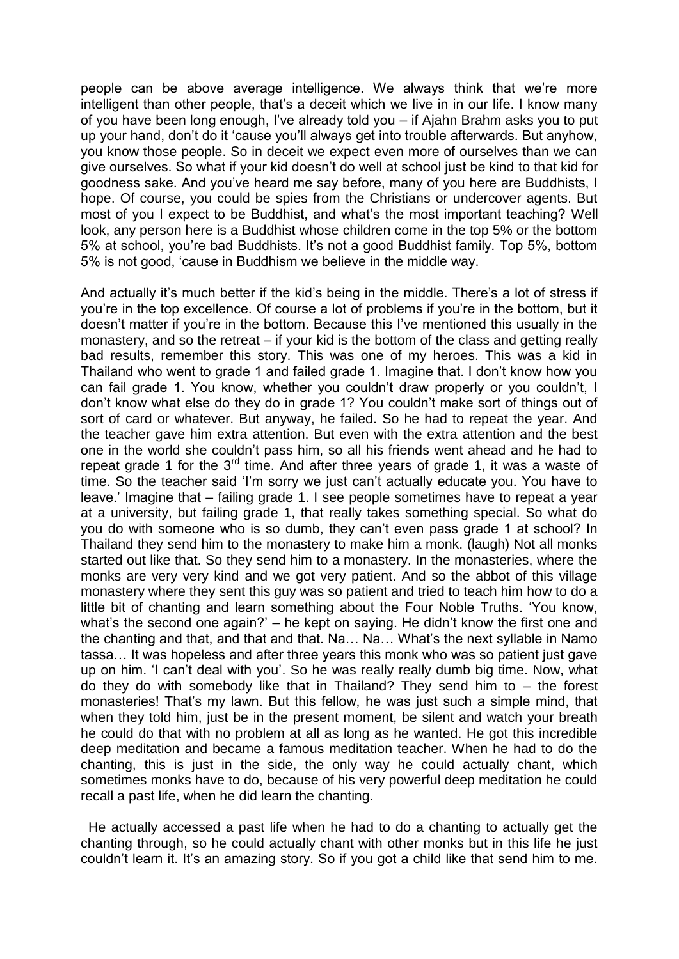people can be above average intelligence. We always think that we're more intelligent than other people, that's a deceit which we live in in our life. I know many of you have been long enough, I've already told you – if Ajahn Brahm asks you to put up your hand, don't do it 'cause you'll always get into trouble afterwards. But anyhow, you know those people. So in deceit we expect even more of ourselves than we can give ourselves. So what if your kid doesn't do well at school just be kind to that kid for goodness sake. And you've heard me say before, many of you here are Buddhists, I hope. Of course, you could be spies from the Christians or undercover agents. But most of you I expect to be Buddhist, and what's the most important teaching? Well look, any person here is a Buddhist whose children come in the top 5% or the bottom 5% at school, you're bad Buddhists. It's not a good Buddhist family. Top 5%, bottom 5% is not good, 'cause in Buddhism we believe in the middle way.

And actually it's much better if the kid's being in the middle. There's a lot of stress if you're in the top excellence. Of course a lot of problems if you're in the bottom, but it doesn't matter if you're in the bottom. Because this I've mentioned this usually in the monastery, and so the retreat – if your kid is the bottom of the class and getting really bad results, remember this story. This was one of my heroes. This was a kid in Thailand who went to grade 1 and failed grade 1. Imagine that. I don't know how you can fail grade 1. You know, whether you couldn't draw properly or you couldn't, I don't know what else do they do in grade 1? You couldn't make sort of things out of sort of card or whatever. But anyway, he failed. So he had to repeat the year. And the teacher gave him extra attention. But even with the extra attention and the best one in the world she couldn't pass him, so all his friends went ahead and he had to repeat grade 1 for the  $3<sup>rd</sup>$  time. And after three years of grade 1, it was a waste of time. So the teacher said 'I'm sorry we just can't actually educate you. You have to leave.' Imagine that – failing grade 1. I see people sometimes have to repeat a year at a university, but failing grade 1, that really takes something special. So what do you do with someone who is so dumb, they can't even pass grade 1 at school? In Thailand they send him to the monastery to make him a monk. (laugh) Not all monks started out like that. So they send him to a monastery. In the monasteries, where the monks are very very kind and we got very patient. And so the abbot of this village monastery where they sent this guy was so patient and tried to teach him how to do a little bit of chanting and learn something about the Four Noble Truths. 'You know, what's the second one again?' – he kept on saying. He didn't know the first one and the chanting and that, and that and that. Na… Na… What's the next syllable in Namo tassa… It was hopeless and after three years this monk who was so patient just gave up on him. 'I can't deal with you'. So he was really really dumb big time. Now, what do they do with somebody like that in Thailand? They send him to – the forest monasteries! That's my lawn. But this fellow, he was just such a simple mind, that when they told him, just be in the present moment, be silent and watch your breath he could do that with no problem at all as long as he wanted. He got this incredible deep meditation and became a famous meditation teacher. When he had to do the chanting, this is just in the side, the only way he could actually chant, which sometimes monks have to do, because of his very powerful deep meditation he could recall a past life, when he did learn the chanting.

 He actually accessed a past life when he had to do a chanting to actually get the chanting through, so he could actually chant with other monks but in this life he just couldn't learn it. It's an amazing story. So if you got a child like that send him to me.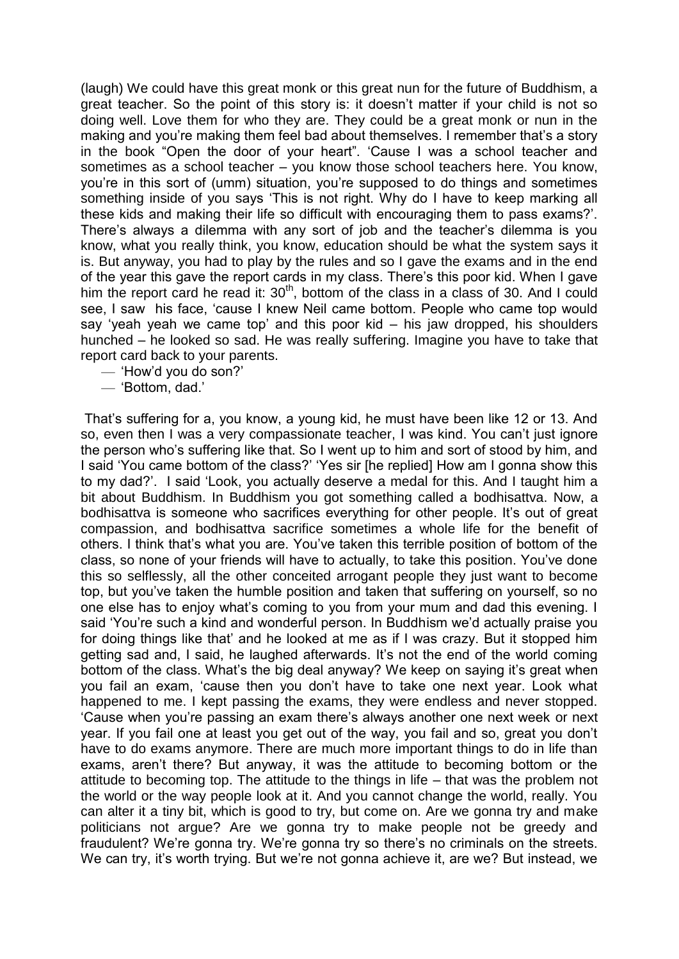(laugh) We could have this great monk or this great nun for the future of Buddhism, a great teacher. So the point of this story is: it doesn't matter if your child is not so doing well. Love them for who they are. They could be a great monk or nun in the making and you're making them feel bad about themselves. I remember that's a story in the book "Open the door of your heart". 'Cause I was a school teacher and sometimes as a school teacher – you know those school teachers here. You know, you're in this sort of (umm) situation, you're supposed to do things and sometimes something inside of you says 'This is not right. Why do I have to keep marking all these kids and making their life so difficult with encouraging them to pass exams?'. There's always a dilemma with any sort of job and the teacher's dilemma is you know, what you really think, you know, education should be what the system says it is. But anyway, you had to play by the rules and so I gave the exams and in the end of the year this gave the report cards in my class. There's this poor kid. When I gave him the report card he read it:  $30<sup>th</sup>$ , bottom of the class in a class of 30. And I could see, I saw his face, 'cause I knew Neil came bottom. People who came top would say 'yeah yeah we came top' and this poor kid  $-$  his jaw dropped, his shoulders hunched – he looked so sad. He was really suffering. Imagine you have to take that report card back to your parents.

- ‗How'd you do son?'
- ‗Bottom, dad.'

That's suffering for a, you know, a young kid, he must have been like 12 or 13. And so, even then I was a very compassionate teacher, I was kind. You can't just ignore the person who's suffering like that. So I went up to him and sort of stood by him, and I said 'You came bottom of the class?' 'Yes sir [he replied] How am I gonna show this to my dad?'. I said ‗Look, you actually deserve a medal for this. And I taught him a bit about Buddhism. In Buddhism you got something called a bodhisattva. Now, a bodhisattva is someone who sacrifices everything for other people. It's out of great compassion, and bodhisattva sacrifice sometimes a whole life for the benefit of others. I think that's what you are. You've taken this terrible position of bottom of the class, so none of your friends will have to actually, to take this position. You've done this so selflessly, all the other conceited arrogant people they just want to become top, but you've taken the humble position and taken that suffering on yourself, so no one else has to enjoy what's coming to you from your mum and dad this evening. I said 'You're such a kind and wonderful person. In Buddhism we'd actually praise you for doing things like that' and he looked at me as if I was crazy. But it stopped him getting sad and, I said, he laughed afterwards. It's not the end of the world coming bottom of the class. What's the big deal anyway? We keep on saying it's great when you fail an exam, 'cause then you don't have to take one next year. Look what happened to me. I kept passing the exams, they were endless and never stopped. ‗Cause when you're passing an exam there's always another one next week or next year. If you fail one at least you get out of the way, you fail and so, great you don't have to do exams anymore. There are much more important things to do in life than exams, aren't there? But anyway, it was the attitude to becoming bottom or the attitude to becoming top. The attitude to the things in life – that was the problem not the world or the way people look at it. And you cannot change the world, really. You can alter it a tiny bit, which is good to try, but come on. Are we gonna try and make politicians not argue? Are we gonna try to make people not be greedy and fraudulent? We're gonna try. We're gonna try so there's no criminals on the streets. We can try, it's worth trying. But we're not gonna achieve it, are we? But instead, we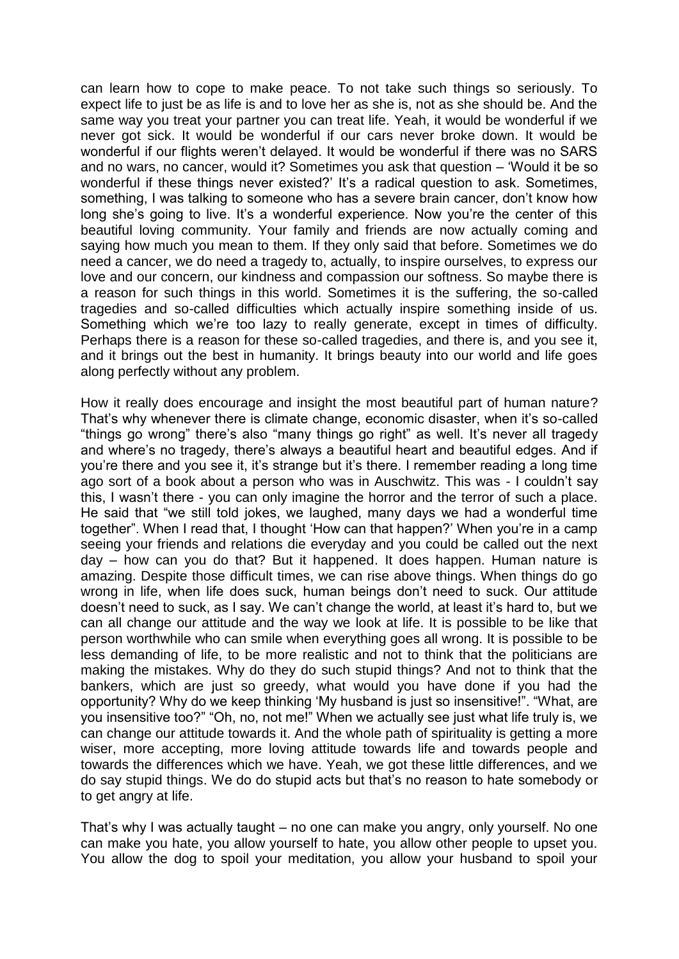can learn how to cope to make peace. To not take such things so seriously. To expect life to just be as life is and to love her as she is, not as she should be. And the same way you treat your partner you can treat life. Yeah, it would be wonderful if we never got sick. It would be wonderful if our cars never broke down. It would be wonderful if our flights weren't delayed. It would be wonderful if there was no SARS and no wars, no cancer, would it? Sometimes you ask that question – 'Would it be so wonderful if these things never existed?' It's a radical question to ask. Sometimes, something, I was talking to someone who has a severe brain cancer, don't know how long she's going to live. It's a wonderful experience. Now you're the center of this beautiful loving community. Your family and friends are now actually coming and saying how much you mean to them. If they only said that before. Sometimes we do need a cancer, we do need a tragedy to, actually, to inspire ourselves, to express our love and our concern, our kindness and compassion our softness. So maybe there is a reason for such things in this world. Sometimes it is the suffering, the so-called tragedies and so-called difficulties which actually inspire something inside of us. Something which we're too lazy to really generate, except in times of difficulty. Perhaps there is a reason for these so-called tragedies, and there is, and you see it, and it brings out the best in humanity. It brings beauty into our world and life goes along perfectly without any problem.

How it really does encourage and insight the most beautiful part of human nature? That's why whenever there is climate change, economic disaster, when it's so-called "things go wrong" there's also "many things go right" as well. It's never all tragedy and where's no tragedy, there's always a beautiful heart and beautiful edges. And if you're there and you see it, it's strange but it's there. I remember reading a long time ago sort of a book about a person who was in Auschwitz. This was - I couldn't say this, I wasn't there - you can only imagine the horror and the terror of such a place. He said that "we still told jokes, we laughed, many days we had a wonderful time together". When I read that, I thought 'How can that happen?' When you're in a camp seeing your friends and relations die everyday and you could be called out the next day – how can you do that? But it happened. It does happen. Human nature is amazing. Despite those difficult times, we can rise above things. When things do go wrong in life, when life does suck, human beings don't need to suck. Our attitude doesn't need to suck, as I say. We can't change the world, at least it's hard to, but we can all change our attitude and the way we look at life. It is possible to be like that person worthwhile who can smile when everything goes all wrong. It is possible to be less demanding of life, to be more realistic and not to think that the politicians are making the mistakes. Why do they do such stupid things? And not to think that the bankers, which are just so greedy, what would you have done if you had the opportunity? Why do we keep thinking 'My husband is just so insensitive!". "What, are you insensitive too?" "Oh, no, not me!" When we actually see just what life truly is, we can change our attitude towards it. And the whole path of spirituality is getting a more wiser, more accepting, more loving attitude towards life and towards people and towards the differences which we have. Yeah, we got these little differences, and we do say stupid things. We do do stupid acts but that's no reason to hate somebody or to get angry at life.

That's why I was actually taught – no one can make you angry, only yourself. No one can make you hate, you allow yourself to hate, you allow other people to upset you. You allow the dog to spoil your meditation, you allow your husband to spoil your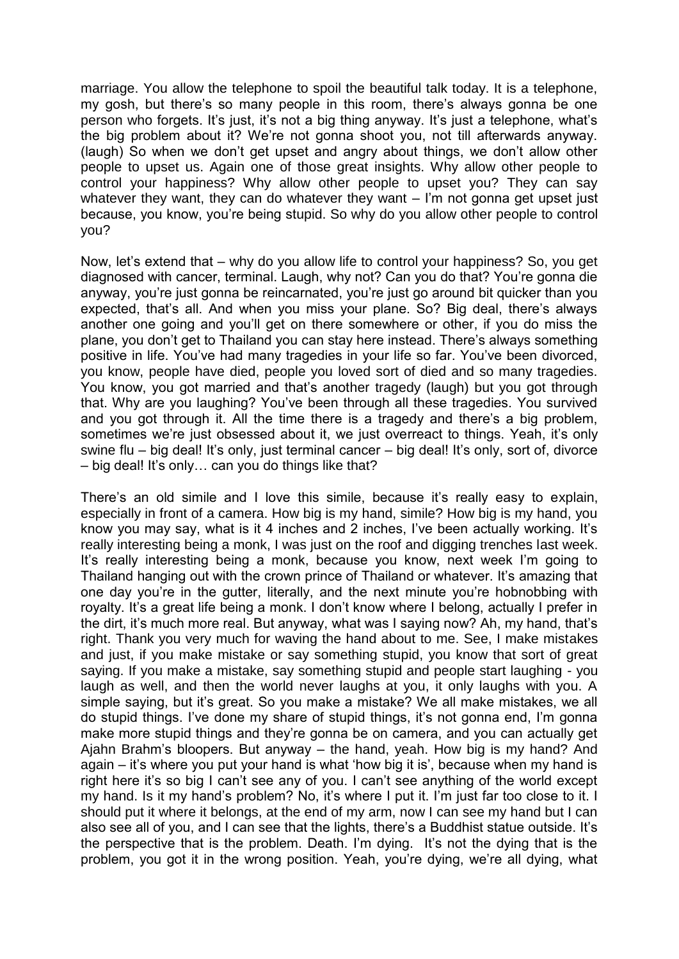marriage. You allow the telephone to spoil the beautiful talk today. It is a telephone, my gosh, but there's so many people in this room, there's always gonna be one person who forgets. It's just, it's not a big thing anyway. It's just a telephone, what's the big problem about it? We're not gonna shoot you, not till afterwards anyway. (laugh) So when we don't get upset and angry about things, we don't allow other people to upset us. Again one of those great insights. Why allow other people to control your happiness? Why allow other people to upset you? They can say whatever they want, they can do whatever they want – I'm not gonna get upset just because, you know, you're being stupid. So why do you allow other people to control you?

Now, let's extend that – why do you allow life to control your happiness? So, you get diagnosed with cancer, terminal. Laugh, why not? Can you do that? You're gonna die anyway, you're just gonna be reincarnated, you're just go around bit quicker than you expected, that's all. And when you miss your plane. So? Big deal, there's always another one going and you'll get on there somewhere or other, if you do miss the plane, you don't get to Thailand you can stay here instead. There's always something positive in life. You've had many tragedies in your life so far. You've been divorced, you know, people have died, people you loved sort of died and so many tragedies. You know, you got married and that's another tragedy (laugh) but you got through that. Why are you laughing? You've been through all these tragedies. You survived and you got through it. All the time there is a tragedy and there's a big problem, sometimes we're just obsessed about it, we just overreact to things. Yeah, it's only swine flu – big deal! It's only, just terminal cancer – big deal! It's only, sort of, divorce – big deal! It's only… can you do things like that?

There's an old simile and I love this simile, because it's really easy to explain, especially in front of a camera. How big is my hand, simile? How big is my hand, you know you may say, what is it 4 inches and 2 inches, I've been actually working. It's really interesting being a monk, I was just on the roof and digging trenches last week. It's really interesting being a monk, because you know, next week I'm going to Thailand hanging out with the crown prince of Thailand or whatever. It's amazing that one day you're in the gutter, literally, and the next minute you're hobnobbing with royalty. It's a great life being a monk. I don't know where I belong, actually I prefer in the dirt, it's much more real. But anyway, what was I saying now? Ah, my hand, that's right. Thank you very much for waving the hand about to me. See, I make mistakes and just, if you make mistake or say something stupid, you know that sort of great saying. If you make a mistake, say something stupid and people start laughing - you laugh as well, and then the world never laughs at you, it only laughs with you. A simple saying, but it's great. So you make a mistake? We all make mistakes, we all do stupid things. I've done my share of stupid things, it's not gonna end, I'm gonna make more stupid things and they're gonna be on camera, and you can actually get Ajahn Brahm's bloopers. But anyway – the hand, yeah. How big is my hand? And  $a$ gain – it's where you put your hand is what 'how big it is', because when my hand is right here it's so big I can't see any of you. I can't see anything of the world except my hand. Is it my hand's problem? No, it's where I put it. I'm just far too close to it. I should put it where it belongs, at the end of my arm, now I can see my hand but I can also see all of you, and I can see that the lights, there's a Buddhist statue outside. It's the perspective that is the problem. Death. I'm dying. It's not the dying that is the problem, you got it in the wrong position. Yeah, you're dying, we're all dying, what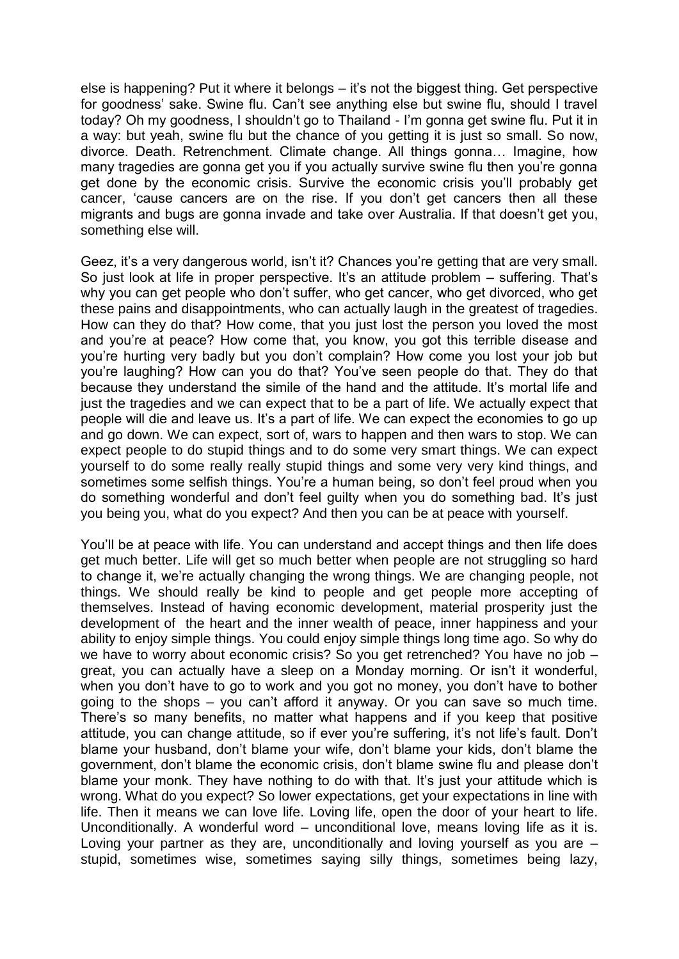else is happening? Put it where it belongs – it's not the biggest thing. Get perspective for goodness' sake. Swine flu. Can't see anything else but swine flu, should I travel today? Oh my goodness, I shouldn't go to Thailand - I'm gonna get swine flu. Put it in a way: but yeah, swine flu but the chance of you getting it is just so small. So now, divorce. Death. Retrenchment. Climate change. All things gonna… Imagine, how many tragedies are gonna get you if you actually survive swine flu then you're gonna get done by the economic crisis. Survive the economic crisis you'll probably get cancer, 'cause cancers are on the rise. If you don't get cancers then all these migrants and bugs are gonna invade and take over Australia. If that doesn't get you, something else will.

Geez, it's a very dangerous world, isn't it? Chances you're getting that are very small. So just look at life in proper perspective. It's an attitude problem – suffering. That's why you can get people who don't suffer, who get cancer, who get divorced, who get these pains and disappointments, who can actually laugh in the greatest of tragedies. How can they do that? How come, that you just lost the person you loved the most and you're at peace? How come that, you know, you got this terrible disease and you're hurting very badly but you don't complain? How come you lost your job but you're laughing? How can you do that? You've seen people do that. They do that because they understand the simile of the hand and the attitude. It's mortal life and just the tragedies and we can expect that to be a part of life. We actually expect that people will die and leave us. It's a part of life. We can expect the economies to go up and go down. We can expect, sort of, wars to happen and then wars to stop. We can expect people to do stupid things and to do some very smart things. We can expect yourself to do some really really stupid things and some very very kind things, and sometimes some selfish things. You're a human being, so don't feel proud when you do something wonderful and don't feel guilty when you do something bad. It's just you being you, what do you expect? And then you can be at peace with yourself.

You'll be at peace with life. You can understand and accept things and then life does get much better. Life will get so much better when people are not struggling so hard to change it, we're actually changing the wrong things. We are changing people, not things. We should really be kind to people and get people more accepting of themselves. Instead of having economic development, material prosperity just the development of the heart and the inner wealth of peace, inner happiness and your ability to enjoy simple things. You could enjoy simple things long time ago. So why do we have to worry about economic crisis? So you get retrenched? You have no job – great, you can actually have a sleep on a Monday morning. Or isn't it wonderful, when you don't have to go to work and you got no money, you don't have to bother going to the shops – you can't afford it anyway. Or you can save so much time. There's so many benefits, no matter what happens and if you keep that positive attitude, you can change attitude, so if ever you're suffering, it's not life's fault. Don't blame your husband, don't blame your wife, don't blame your kids, don't blame the government, don't blame the economic crisis, don't blame swine flu and please don't blame your monk. They have nothing to do with that. It's just your attitude which is wrong. What do you expect? So lower expectations, get your expectations in line with life. Then it means we can love life. Loving life, open the door of your heart to life. Unconditionally. A wonderful word – unconditional love, means loving life as it is. Loving your partner as they are, unconditionally and loving yourself as you are – stupid, sometimes wise, sometimes saying silly things, sometimes being lazy,